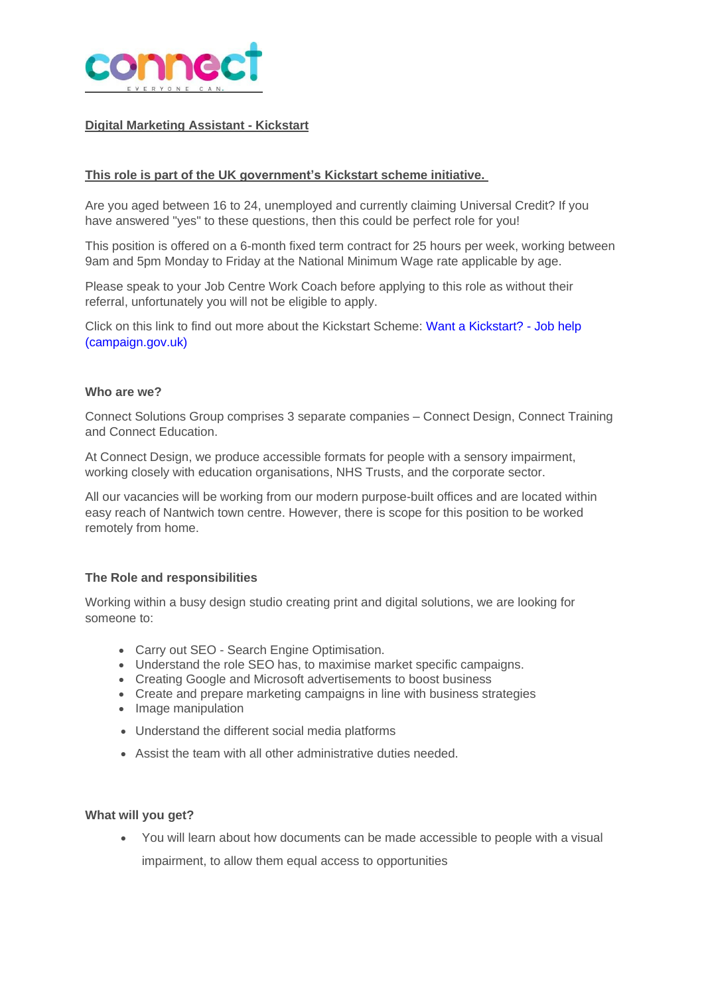

### **Digital Marketing Assistant - Kickstart**

### **This role is part of the UK government's Kickstart scheme initiative.**

Are you aged between 16 to 24, unemployed and currently claiming Universal Credit? If you have answered "yes" to these questions, then this could be perfect role for you!

This position is offered on a 6-month fixed term contract for 25 hours per week, working between 9am and 5pm Monday to Friday at the National Minimum Wage rate applicable by age.

Please speak to your Job Centre Work Coach before applying to this role as without their referral, unfortunately you will not be eligible to apply.

Click on this link to find out more about the Kickstart Scheme: Want a [Kickstart?](https://jobhelp.campaign.gov.uk/kickstart/) - Job help [\(campaign.gov.uk\)](https://jobhelp.campaign.gov.uk/kickstart/)

#### **Who are we?**

Connect Solutions Group comprises 3 separate companies – Connect Design, Connect Training and Connect Education.

At Connect Design, we produce accessible formats for people with a sensory impairment, working closely with education organisations, NHS Trusts, and the corporate sector.

All our vacancies will be working from our modern purpose-built offices and are located within easy reach of Nantwich town centre. However, there is scope for this position to be worked remotely from home.

### **The Role and responsibilities**

Working within a busy design studio creating print and digital solutions, we are looking for someone to:

- Carry out SEO Search Engine Optimisation.
- Understand the role SEO has, to maximise market specific campaigns.
- Creating Google and Microsoft advertisements to boost business
- Create and prepare marketing campaigns in line with business strategies
- Image manipulation
- Understand the different social media platforms
- Assist the team with all other administrative duties needed.

#### **What will you get?**

• You will learn about how documents can be made accessible to people with a visual impairment, to allow them equal access to opportunities